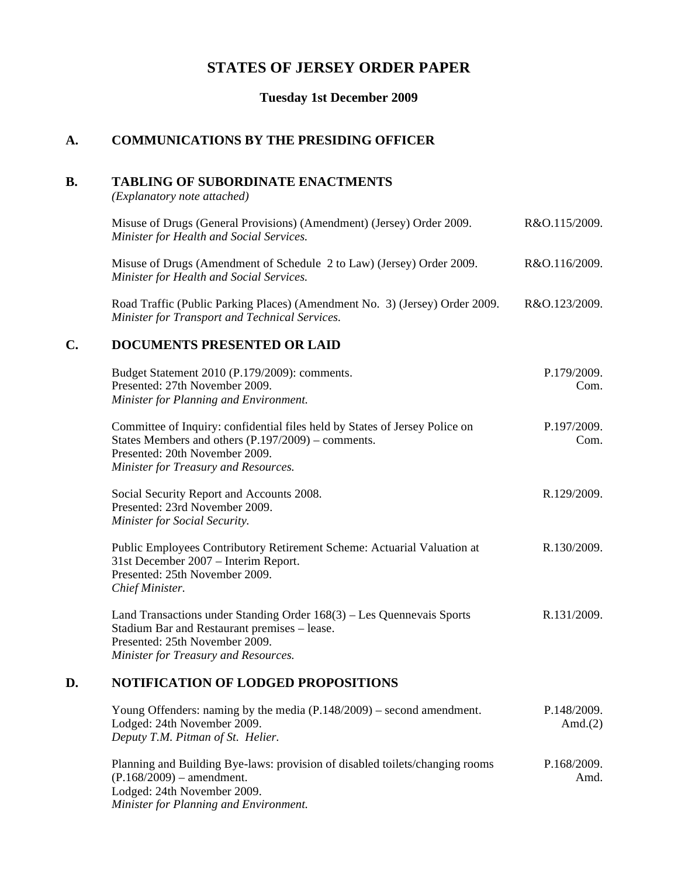## **STATES OF JERSEY ORDER PAPER**

**Tuesday 1st December 2009**

## **A. COMMUNICATIONS BY THE PRESIDING OFFICER**

### **B. TABLING OF SUBORDINATE ENACTMENTS**

*(Explanatory note attached)*

|    | Misuse of Drugs (General Provisions) (Amendment) (Jersey) Order 2009.<br>Minister for Health and Social Services.                                                                                             | R&O.115/2009.       |
|----|---------------------------------------------------------------------------------------------------------------------------------------------------------------------------------------------------------------|---------------------|
|    | Misuse of Drugs (Amendment of Schedule 2 to Law) (Jersey) Order 2009.<br>Minister for Health and Social Services.                                                                                             | R&O.116/2009.       |
|    | Road Traffic (Public Parking Places) (Amendment No. 3) (Jersey) Order 2009.<br>Minister for Transport and Technical Services.                                                                                 | R&O.123/2009.       |
| C. | <b>DOCUMENTS PRESENTED OR LAID</b>                                                                                                                                                                            |                     |
|    | Budget Statement 2010 (P.179/2009): comments.<br>Presented: 27th November 2009.<br>Minister for Planning and Environment.                                                                                     | P.179/2009.<br>Com. |
|    | Committee of Inquiry: confidential files held by States of Jersey Police on<br>States Members and others $(P.197/2009)$ – comments.<br>Presented: 20th November 2009.<br>Minister for Treasury and Resources. | P.197/2009.<br>Com. |
|    | Social Security Report and Accounts 2008.<br>Presented: 23rd November 2009.<br>Minister for Social Security.                                                                                                  | R.129/2009.         |
|    | Public Employees Contributory Retirement Scheme: Actuarial Valuation at<br>31st December 2007 - Interim Report.<br>Presented: 25th November 2009.<br>Chief Minister.                                          | R.130/2009.         |

Land Transactions under Standing Order 168(3) – Les Quennevais Sports Stadium Bar and Restaurant premises – lease. Presented: 25th November 2009. *Minister for Treasury and Resources.* R.131/2009.

### **D. NOTIFICATION OF LODGED PROPOSITIONS**

| Young Offenders: naming by the media $(P.148/2009)$ – second amendment. | P.148/2009. |
|-------------------------------------------------------------------------|-------------|
| Lodged: 24th November 2009.                                             | Amd. $(2)$  |
| Deputy T.M. Pitman of St. Helier.                                       |             |
|                                                                         |             |

Planning and Building Bye-laws: provision of disabled toilets/changing rooms  $(P.168/2009)$  – amendment. Lodged: 24th November 2009. *Minister for Planning and Environment.* P.168/2009. Amd.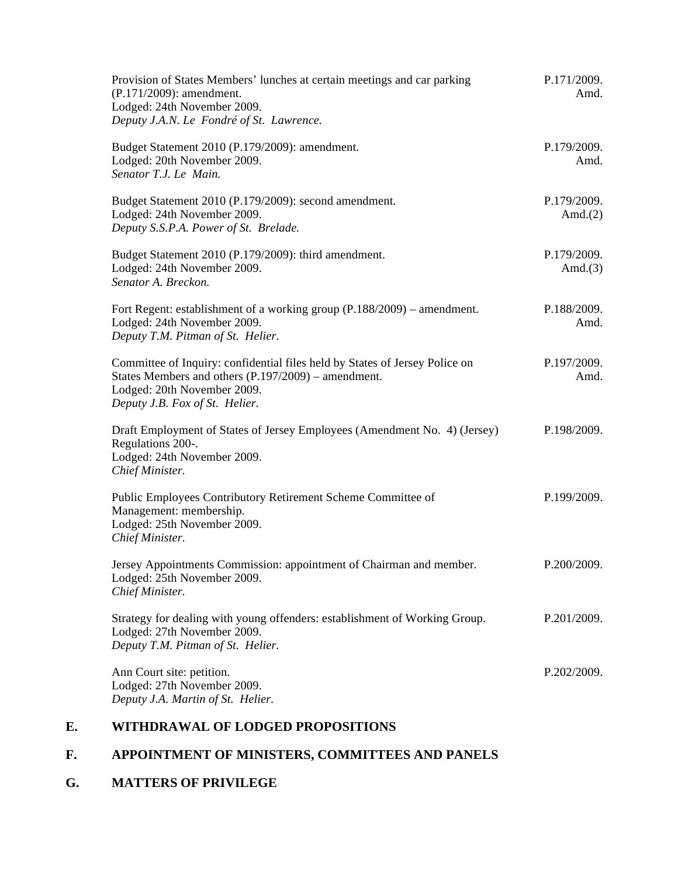| Provision of States Members' lunches at certain meetings and car parking<br>(P.171/2009): amendment.<br>Lodged: 24th November 2009.<br>Deputy J.A.N. Le Fondré of St. Lawrence.                     | P.171/2009.<br>Amd.       |
|-----------------------------------------------------------------------------------------------------------------------------------------------------------------------------------------------------|---------------------------|
| Budget Statement 2010 (P.179/2009): amendment.<br>Lodged: 20th November 2009.<br>Senator T.J. Le Main.                                                                                              | P.179/2009.<br>Amd.       |
| Budget Statement 2010 (P.179/2009): second amendment.<br>Lodged: 24th November 2009.<br>Deputy S.S.P.A. Power of St. Brelade.                                                                       | P.179/2009.<br>Amd. $(2)$ |
| Budget Statement 2010 (P.179/2009): third amendment.<br>Lodged: 24th November 2009.<br>Senator A. Breckon.                                                                                          | P.179/2009.<br>Amd. $(3)$ |
| Fort Regent: establishment of a working group (P.188/2009) – amendment.<br>Lodged: 24th November 2009.<br>Deputy T.M. Pitman of St. Helier.                                                         | P.188/2009.<br>Amd.       |
| Committee of Inquiry: confidential files held by States of Jersey Police on<br>States Members and others (P.197/2009) – amendment.<br>Lodged: 20th November 2009.<br>Deputy J.B. Fox of St. Helier. | P.197/2009.<br>Amd.       |
| Draft Employment of States of Jersey Employees (Amendment No. 4) (Jersey)<br>Regulations 200-.<br>Lodged: 24th November 2009.<br>Chief Minister.                                                    | P.198/2009.               |
| Public Employees Contributory Retirement Scheme Committee of<br>Management: membership.<br>Lodged: 25th November 2009.<br>Chief Minister.                                                           | P.199/2009.               |
| Jersey Appointments Commission: appointment of Chairman and member.<br>Lodged: 25th November 2009.<br>Chief Minister.                                                                               | P.200/2009.               |
| Strategy for dealing with young offenders: establishment of Working Group.<br>Lodged: 27th November 2009.<br>Deputy T.M. Pitman of St. Helier.                                                      | P.201/2009.               |
| Ann Court site: petition.<br>Lodged: 27th November 2009.<br>Deputy J.A. Martin of St. Helier.                                                                                                       | P.202/2009.               |

## **E. WITHDRAWAL OF LODGED PROPOSITIONS**

# **F. APPOINTMENT OF MINISTERS, COMMITTEES AND PANELS**

## **G. MATTERS OF PRIVILEGE**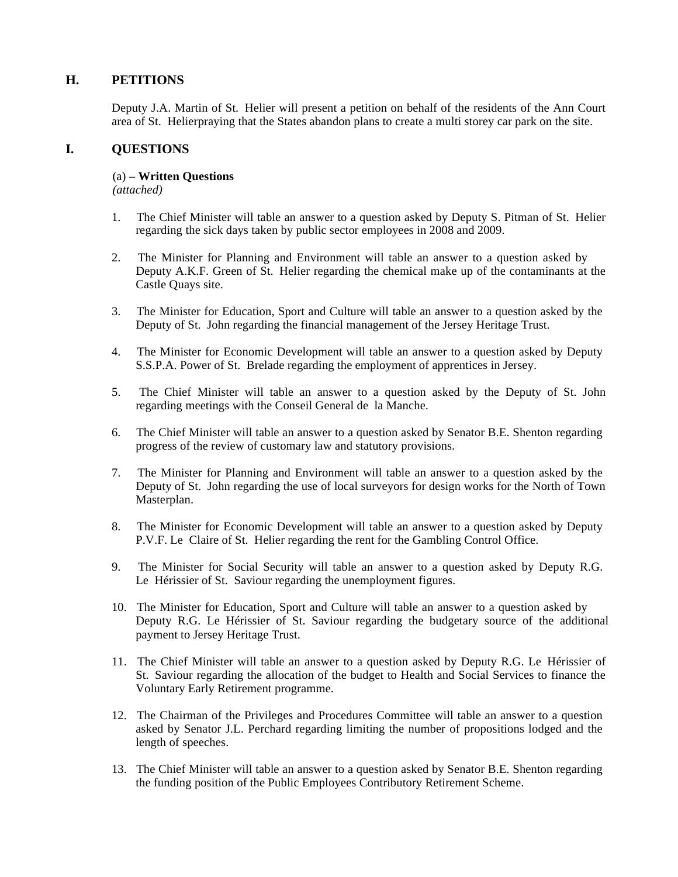## **H. PETITIONS**

Deputy J.A. Martin of St. Helier will present a petition on behalf of the residents of the Ann Court area of St. Helierpraying that the States abandon plans to create a multi storey car park on the site.

## **I. QUESTIONS**

#### (a) – **Written Questions**

*(attached)*

- 1. The Chief Minister will table an answer to a question asked by Deputy S. Pitman of St. Helier regarding the sick days taken by public sector employees in 2008 and 2009.
- 2. The Minister for Planning and Environment will table an answer to a question asked by Deputy A.K.F. Green of St. Helier regarding the chemical make up of the contaminants at the Castle Quays site.
- 3. The Minister for Education, Sport and Culture will table an answer to a question asked by the Deputy of St. John regarding the financial management of the Jersey Heritage Trust.
- 4. The Minister for Economic Development will table an answer to a question asked by Deputy S.S.P.A. Power of St. Brelade regarding the employment of apprentices in Jersey.
- 5. The Chief Minister will table an answer to a question asked by the Deputy of St. John regarding meetings with the Conseil General de la Manche.
- 6. The Chief Minister will table an answer to a question asked by Senator B.E. Shenton regarding progress of the review of customary law and statutory provisions.
- 7. The Minister for Planning and Environment will table an answer to a question asked by the Deputy of St. John regarding the use of local surveyors for design works for the North of Town Masterplan.
- 8. The Minister for Economic Development will table an answer to a question asked by Deputy P.V.F. Le Claire of St. Helier regarding the rent for the Gambling Control Office.
- 9. The Minister for Social Security will table an answer to a question asked by Deputy R.G. Le Hérissier of St. Saviour regarding the unemployment figures.
- 10. The Minister for Education, Sport and Culture will table an answer to a question asked by Deputy R.G. Le Hérissier of St. Saviour regarding the budgetary source of the additional payment to Jersey Heritage Trust.
- 11. The Chief Minister will table an answer to a question asked by Deputy R.G. Le Hérissier of St. Saviour regarding the allocation of the budget to Health and Social Services to finance the Voluntary Early Retirement programme.
- 12. The Chairman of the Privileges and Procedures Committee will table an answer to a question asked by Senator J.L. Perchard regarding limiting the number of propositions lodged and the length of speeches.
- 13. The Chief Minister will table an answer to a question asked by Senator B.E. Shenton regarding the funding position of the Public Employees Contributory Retirement Scheme.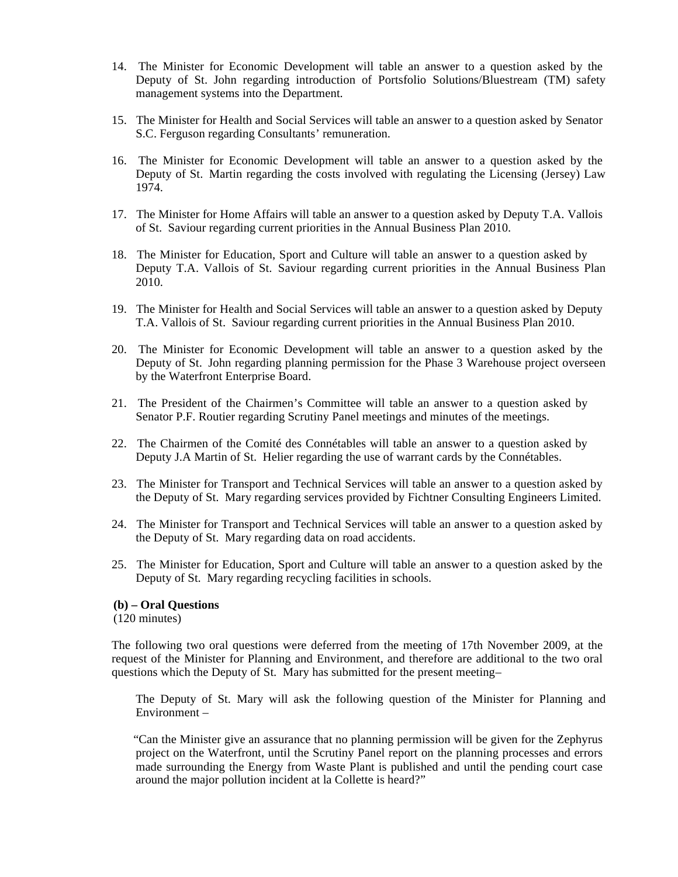- 14. The Minister for Economic Development will table an answer to a question asked by the Deputy of St. John regarding introduction of Portsfolio Solutions/Bluestream (TM) safety management systems into the Department.
- 15. The Minister for Health and Social Services will table an answer to a question asked by Senator S.C. Ferguson regarding Consultants' remuneration.
- 16. The Minister for Economic Development will table an answer to a question asked by the Deputy of St. Martin regarding the costs involved with regulating the Licensing (Jersey) Law 1974.
- 17. The Minister for Home Affairs will table an answer to a question asked by Deputy T.A. Vallois of St. Saviour regarding current priorities in the Annual Business Plan 2010.
- 18. The Minister for Education, Sport and Culture will table an answer to a question asked by Deputy T.A. Vallois of St. Saviour regarding current priorities in the Annual Business Plan 2010.
- 19. The Minister for Health and Social Services will table an answer to a question asked by Deputy T.A. Vallois of St. Saviour regarding current priorities in the Annual Business Plan 2010.
- 20. The Minister for Economic Development will table an answer to a question asked by the Deputy of St. John regarding planning permission for the Phase 3 Warehouse project overseen by the Waterfront Enterprise Board.
- 21. The President of the Chairmen's Committee will table an answer to a question asked by Senator P.F. Routier regarding Scrutiny Panel meetings and minutes of the meetings.
- 22. The Chairmen of the Comité des Connétables will table an answer to a question asked by Deputy J.A Martin of St. Helier regarding the use of warrant cards by the Connétables.
- 23. The Minister for Transport and Technical Services will table an answer to a question asked by the Deputy of St. Mary regarding services provided by Fichtner Consulting Engineers Limited.
- 24. The Minister for Transport and Technical Services will table an answer to a question asked by the Deputy of St. Mary regarding data on road accidents.
- 25. The Minister for Education, Sport and Culture will table an answer to a question asked by the Deputy of St. Mary regarding recycling facilities in schools.

#### **(b) – Oral Questions**

(120 minutes)

The following two oral questions were deferred from the meeting of 17th November 2009, at the request of the Minister for Planning and Environment, and therefore are additional to the two oral questions which the Deputy of St. Mary has submitted for the present meeting–

 The Deputy of St. Mary will ask the following question of the Minister for Planning and Environment –

 "Can the Minister give an assurance that no planning permission will be given for the Zephyrus project on the Waterfront, until the Scrutiny Panel report on the planning processes and errors made surrounding the Energy from Waste Plant is published and until the pending court case around the major pollution incident at la Collette is heard?"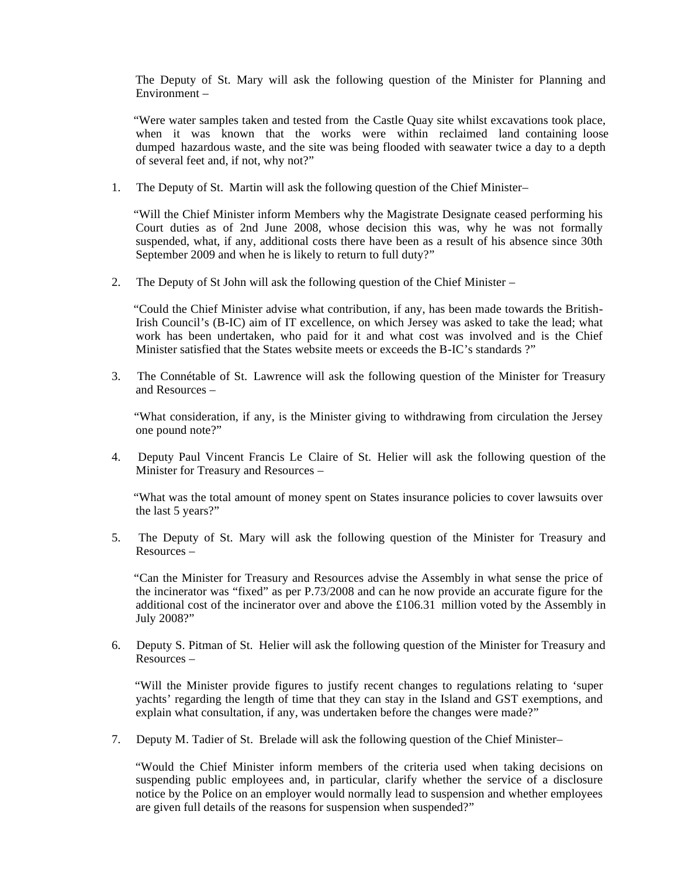The Deputy of St. Mary will ask the following question of the Minister for Planning and Environment –

 "Were water samples taken and tested from the Castle Quay site whilst excavations took place, when it was known that the works were within reclaimed land containing loose dumped hazardous waste, and the site was being flooded with seawater twice a day to a depth of several feet and, if not, why not?"

1. The Deputy of St. Martin will ask the following question of the Chief Minister–

 "Will the Chief Minister inform Members why the Magistrate Designate ceased performing his Court duties as of 2nd June 2008, whose decision this was, why he was not formally suspended, what, if any, additional costs there have been as a result of his absence since 30th September 2009 and when he is likely to return to full duty?"

2. The Deputy of St John will ask the following question of the Chief Minister –

 "Could the Chief Minister advise what contribution, if any, has been made towards the British-Irish Council's (B-IC) aim of IT excellence, on which Jersey was asked to take the lead; what work has been undertaken, who paid for it and what cost was involved and is the Chief Minister satisfied that the States website meets or exceeds the B-IC's standards ?"

3. The Connétable of St. Lawrence will ask the following question of the Minister for Treasury and Resources –

 "What consideration, if any, is the Minister giving to withdrawing from circulation the Jersey one pound note?"

4. Deputy Paul Vincent Francis Le Claire of St. Helier will ask the following question of the Minister for Treasury and Resources –

 "What was the total amount of money spent on States insurance policies to cover lawsuits over the last 5 years?"

5. The Deputy of St. Mary will ask the following question of the Minister for Treasury and Resources –

 "Can the Minister for Treasury and Resources advise the Assembly in what sense the price of the incinerator was "fixed" as per P.73/2008 and can he now provide an accurate figure for the additional cost of the incinerator over and above the £106.31 million voted by the Assembly in July 2008?"

6. Deputy S. Pitman of St. Helier will ask the following question of the Minister for Treasury and Resources –

 "Will the Minister provide figures to justify recent changes to regulations relating to 'super yachts' regarding the length of time that they can stay in the Island and GST exemptions, and explain what consultation, if any, was undertaken before the changes were made?"

7. Deputy M. Tadier of St. Brelade will ask the following question of the Chief Minister–

 "Would the Chief Minister inform members of the criteria used when taking decisions on suspending public employees and, in particular, clarify whether the service of a disclosure notice by the Police on an employer would normally lead to suspension and whether employees are given full details of the reasons for suspension when suspended?"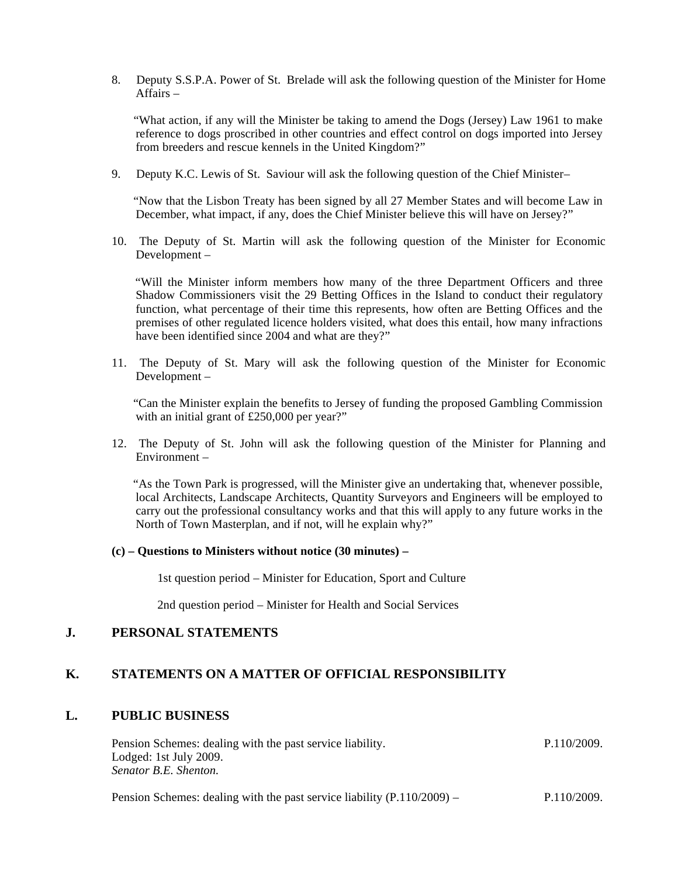8. Deputy S.S.P.A. Power of St. Brelade will ask the following question of the Minister for Home Affairs –

 "What action, if any will the Minister be taking to amend the Dogs (Jersey) Law 1961 to make reference to dogs proscribed in other countries and effect control on dogs imported into Jersey from breeders and rescue kennels in the United Kingdom?"

9. Deputy K.C. Lewis of St. Saviour will ask the following question of the Chief Minister–

 "Now that the Lisbon Treaty has been signed by all 27 Member States and will become Law in December, what impact, if any, does the Chief Minister believe this will have on Jersey?"

10. The Deputy of St. Martin will ask the following question of the Minister for Economic Development –

 "Will the Minister inform members how many of the three Department Officers and three Shadow Commissioners visit the 29 Betting Offices in the Island to conduct their regulatory function, what percentage of their time this represents, how often are Betting Offices and the premises of other regulated licence holders visited, what does this entail, how many infractions have been identified since 2004 and what are they?"

11. The Deputy of St. Mary will ask the following question of the Minister for Economic Development –

 "Can the Minister explain the benefits to Jersey of funding the proposed Gambling Commission with an initial grant of £250,000 per year?"

12. The Deputy of St. John will ask the following question of the Minister for Planning and Environment –

 "As the Town Park is progressed, will the Minister give an undertaking that, whenever possible, local Architects, Landscape Architects, Quantity Surveyors and Engineers will be employed to carry out the professional consultancy works and that this will apply to any future works in the North of Town Masterplan, and if not, will he explain why?"

#### **(c) – Questions to Ministers without notice (30 minutes) –**

1st question period – Minister for Education, Sport and Culture

2nd question period – Minister for Health and Social Services

#### **J. PERSONAL STATEMENTS**

#### **K. STATEMENTS ON A MATTER OF OFFICIAL RESPONSIBILITY**

#### **L. PUBLIC BUSINESS**

Pension Schemes: dealing with the past service liability. Lodged: 1st July 2009. *Senator B.E. Shenton.* P.110/2009.

Pension Schemes: dealing with the past service liability (P.110/2009) – P.110/2009.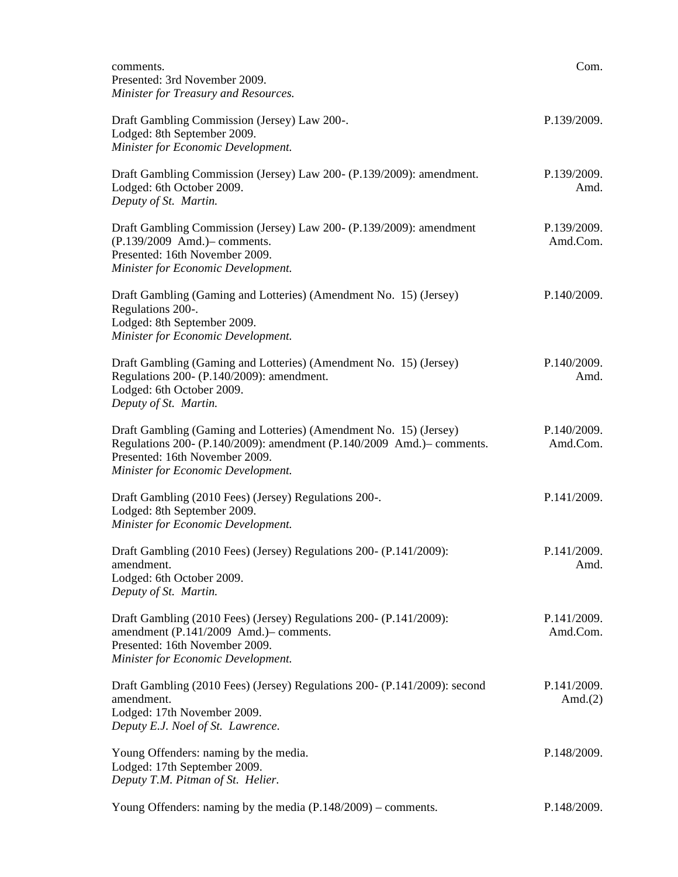| comments.<br>Presented: 3rd November 2009.<br>Minister for Treasury and Resources.                                                                                                                                 | Com.                      |
|--------------------------------------------------------------------------------------------------------------------------------------------------------------------------------------------------------------------|---------------------------|
| Draft Gambling Commission (Jersey) Law 200-.<br>Lodged: 8th September 2009.<br>Minister for Economic Development.                                                                                                  | P.139/2009.               |
| Draft Gambling Commission (Jersey) Law 200- (P.139/2009): amendment.<br>Lodged: 6th October 2009.<br>Deputy of St. Martin.                                                                                         | P.139/2009.<br>Amd.       |
| Draft Gambling Commission (Jersey) Law 200- (P.139/2009): amendment<br>(P.139/2009 Amd.) - comments.<br>Presented: 16th November 2009.<br>Minister for Economic Development.                                       | P.139/2009.<br>Amd.Com.   |
| Draft Gambling (Gaming and Lotteries) (Amendment No. 15) (Jersey)<br>Regulations 200-.<br>Lodged: 8th September 2009.<br>Minister for Economic Development.                                                        | P.140/2009.               |
| Draft Gambling (Gaming and Lotteries) (Amendment No. 15) (Jersey)<br>Regulations 200- (P.140/2009): amendment.<br>Lodged: 6th October 2009.<br>Deputy of St. Martin.                                               | P.140/2009.<br>Amd.       |
| Draft Gambling (Gaming and Lotteries) (Amendment No. 15) (Jersey)<br>Regulations 200- (P.140/2009): amendment (P.140/2009 Amd.)– comments.<br>Presented: 16th November 2009.<br>Minister for Economic Development. | P.140/2009.<br>Amd.Com.   |
| Draft Gambling (2010 Fees) (Jersey) Regulations 200-.<br>Lodged: 8th September 2009.<br>Minister for Economic Development.                                                                                         | P.141/2009.               |
| Draft Gambling (2010 Fees) (Jersey) Regulations 200- (P.141/2009):<br>amendment.<br>Lodged: 6th October 2009.<br>Deputy of St. Martin.                                                                             | P.141/2009.<br>Amd.       |
| Draft Gambling (2010 Fees) (Jersey) Regulations 200- (P.141/2009):<br>amendment (P.141/2009 Amd.)- comments.<br>Presented: 16th November 2009.<br>Minister for Economic Development.                               | P.141/2009.<br>Amd.Com.   |
| Draft Gambling (2010 Fees) (Jersey) Regulations 200- (P.141/2009): second<br>amendment.<br>Lodged: 17th November 2009.<br>Deputy E.J. Noel of St. Lawrence.                                                        | P.141/2009.<br>Amd. $(2)$ |
| Young Offenders: naming by the media.<br>Lodged: 17th September 2009.<br>Deputy T.M. Pitman of St. Helier.                                                                                                         | P.148/2009.               |
| Young Offenders: naming by the media $(P.148/2009)$ – comments.                                                                                                                                                    | P.148/2009.               |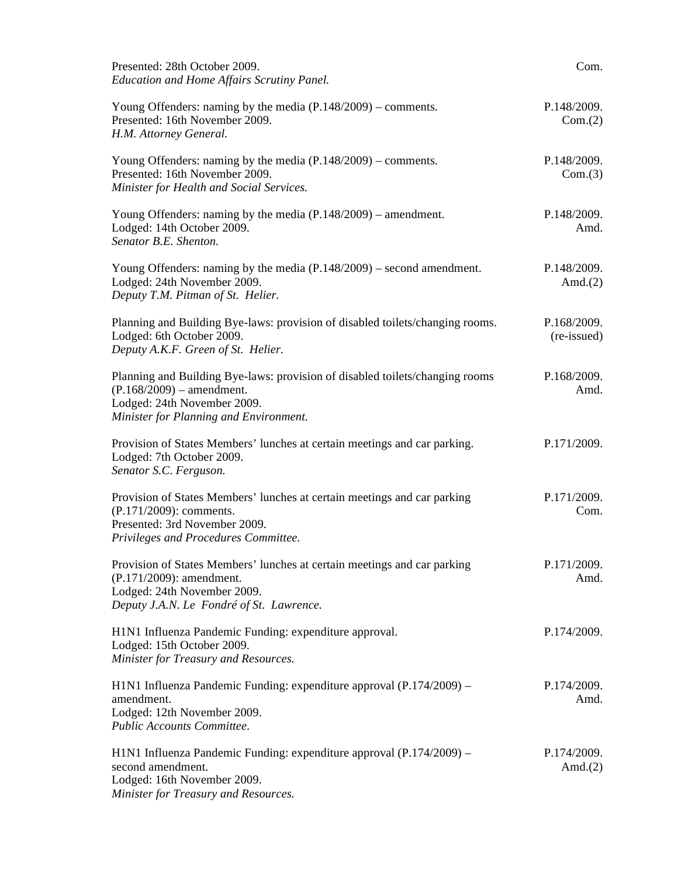| Presented: 28th October 2009.<br><b>Education and Home Affairs Scrutiny Panel.</b>                                                                                                   | Com.                       |
|--------------------------------------------------------------------------------------------------------------------------------------------------------------------------------------|----------------------------|
| Young Offenders: naming by the media $(P.148/2009)$ – comments.<br>Presented: 16th November 2009.<br>H.M. Attorney General.                                                          | P.148/2009.<br>Com.(2)     |
| Young Offenders: naming by the media $(P.148/2009)$ – comments.<br>Presented: 16th November 2009.<br>Minister for Health and Social Services.                                        | P.148/2009.<br>Com.(3)     |
| Young Offenders: naming by the media $(P.148/2009)$ – amendment.<br>Lodged: 14th October 2009.<br>Senator B.E. Shenton.                                                              | P.148/2009.<br>Amd.        |
| Young Offenders: naming by the media $(P.148/2009)$ – second amendment.<br>Lodged: 24th November 2009.<br>Deputy T.M. Pitman of St. Helier.                                          | P.148/2009.<br>Amd. $(2)$  |
| Planning and Building Bye-laws: provision of disabled toilets/changing rooms.<br>Lodged: 6th October 2009.<br>Deputy A.K.F. Green of St. Helier.                                     | P.168/2009.<br>(re-issued) |
| Planning and Building Bye-laws: provision of disabled toilets/changing rooms<br>$(P.168/2009)$ – amendment.<br>Lodged: 24th November 2009.<br>Minister for Planning and Environment. | P.168/2009.<br>Amd.        |
| Provision of States Members' lunches at certain meetings and car parking.<br>Lodged: 7th October 2009.<br>Senator S.C. Ferguson.                                                     | P.171/2009.                |
| Provision of States Members' lunches at certain meetings and car parking<br>(P.171/2009): comments.<br>Presented: 3rd November 2009.<br>Privileges and Procedures Committee.         | P.171/2009.<br>Com.        |
| Provision of States Members' lunches at certain meetings and car parking<br>$(P.171/2009)$ : amendment.<br>Lodged: 24th November 2009.<br>Deputy J.A.N. Le Fondré of St. Lawrence.   | P.171/2009.<br>Amd.        |
| H1N1 Influenza Pandemic Funding: expenditure approval.<br>Lodged: 15th October 2009.<br>Minister for Treasury and Resources.                                                         | P.174/2009.                |
| H1N1 Influenza Pandemic Funding: expenditure approval (P.174/2009) –<br>amendment.<br>Lodged: 12th November 2009.<br>Public Accounts Committee.                                      | P.174/2009.<br>Amd.        |
| H1N1 Influenza Pandemic Funding: expenditure approval (P.174/2009) –<br>second amendment.<br>Lodged: 16th November 2009.<br>Minister for Treasury and Resources.                     | P.174/2009.<br>Amd. $(2)$  |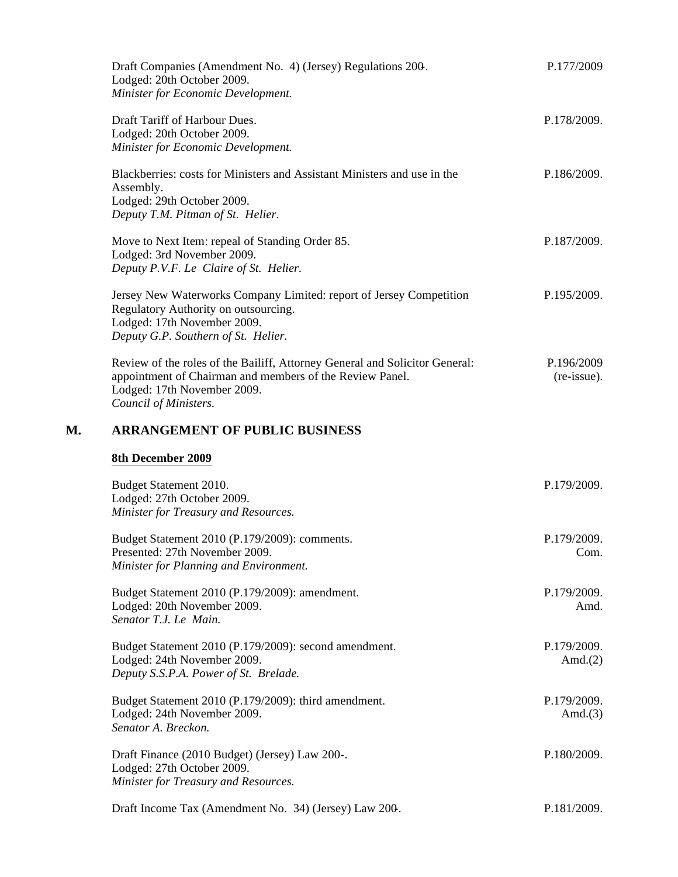|    | Draft Companies (Amendment No. 4) (Jersey) Regulations 200.<br>Lodged: 20th October 2009.<br>Minister for Economic Development.                                                                 | P.177/2009                |
|----|-------------------------------------------------------------------------------------------------------------------------------------------------------------------------------------------------|---------------------------|
|    | Draft Tariff of Harbour Dues.<br>Lodged: 20th October 2009.<br>Minister for Economic Development.                                                                                               | P.178/2009.               |
|    | Blackberries: costs for Ministers and Assistant Ministers and use in the<br>Assembly.<br>Lodged: 29th October 2009.<br>Deputy T.M. Pitman of St. Helier.                                        | P.186/2009.               |
|    | Move to Next Item: repeal of Standing Order 85.<br>Lodged: 3rd November 2009.<br>Deputy P.V.F. Le Claire of St. Helier.                                                                         | P.187/2009.               |
|    | Jersey New Waterworks Company Limited: report of Jersey Competition<br>Regulatory Authority on outsourcing.<br>Lodged: 17th November 2009.<br>Deputy G.P. Southern of St. Helier.               | P.195/2009.               |
|    | Review of the roles of the Bailiff, Attorney General and Solicitor General:<br>appointment of Chairman and members of the Review Panel.<br>Lodged: 17th November 2009.<br>Council of Ministers. | P.196/2009<br>(re-issue). |
| М. | <b>ARRANGEMENT OF PUBLIC BUSINESS</b>                                                                                                                                                           |                           |
|    | 8th December 2009                                                                                                                                                                               |                           |
|    | Budget Statement 2010.<br>Lodged: 27th October 2009.<br>Minister for Treasury and Resources.                                                                                                    | P.179/2009.               |
|    | Budget Statement 2010 (P.179/2009): comments.<br>Presented: 27th November 2009.<br>Minister for Planning and Environment.                                                                       | P.179/2009.<br>Com.       |
|    | Budget Statement 2010 (P.179/2009): amendment.<br>Lodged: 20th November 2009.<br>Senator T.J. Le Main.                                                                                          | P.179/2009.<br>Amd.       |
|    | Budget Statement 2010 (P.179/2009): second amendment.<br>Lodged: 24th November 2009.<br>Deputy S.S.P.A. Power of St. Brelade.                                                                   | P.179/2009.<br>Amd. $(2)$ |
|    | Budget Statement 2010 (P.179/2009): third amendment.<br>Lodged: 24th November 2009.<br>Senator A. Breckon.                                                                                      | P.179/2009.<br>Amd. $(3)$ |
|    | Draft Finance (2010 Budget) (Jersey) Law 200-.<br>Lodged: 27th October 2009.<br>Minister for Treasury and Resources.                                                                            | P.180/2009.               |
|    | Draft Income Tax (Amendment No. 34) (Jersey) Law 200.                                                                                                                                           | P.181/2009.               |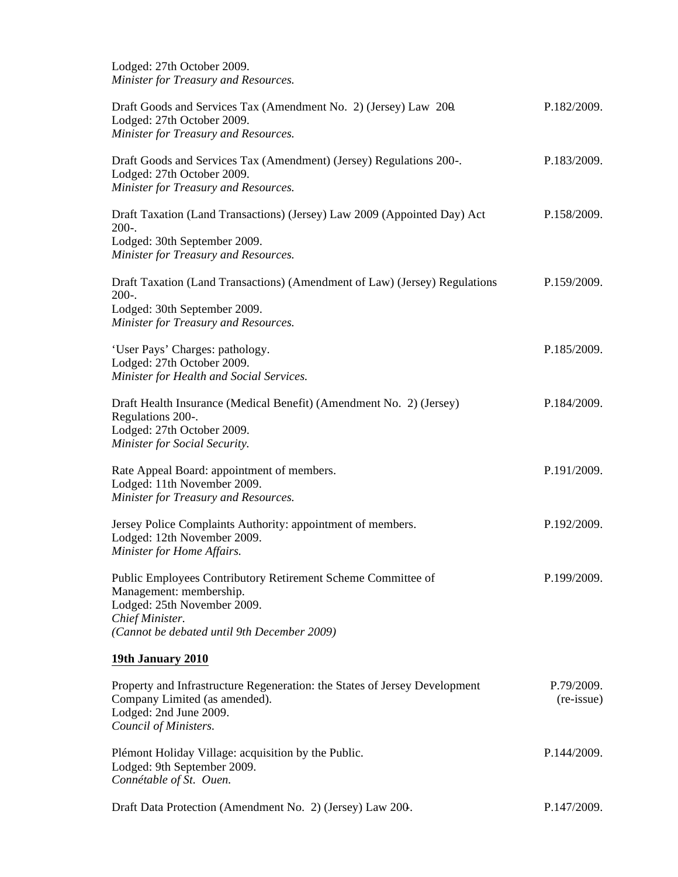Lodged: 27th October 2009. *Minister for Treasury and Resources.*

| Draft Goods and Services Tax (Amendment No. 2) (Jersey) Law 200.<br>Lodged: 27th October 2009.<br>Minister for Treasury and Resources.                                                   | P.182/2009.              |
|------------------------------------------------------------------------------------------------------------------------------------------------------------------------------------------|--------------------------|
| Draft Goods and Services Tax (Amendment) (Jersey) Regulations 200-.<br>Lodged: 27th October 2009.<br>Minister for Treasury and Resources.                                                | P.183/2009.              |
| Draft Taxation (Land Transactions) (Jersey) Law 2009 (Appointed Day) Act<br>$200-.$<br>Lodged: 30th September 2009.<br>Minister for Treasury and Resources.                              | P.158/2009.              |
| Draft Taxation (Land Transactions) (Amendment of Law) (Jersey) Regulations<br>$200-.$<br>Lodged: 30th September 2009.<br>Minister for Treasury and Resources.                            | P.159/2009.              |
| 'User Pays' Charges: pathology.<br>Lodged: 27th October 2009.<br>Minister for Health and Social Services.                                                                                | P.185/2009.              |
| Draft Health Insurance (Medical Benefit) (Amendment No. 2) (Jersey)<br>Regulations 200-.<br>Lodged: 27th October 2009.<br>Minister for Social Security.                                  | P.184/2009.              |
| Rate Appeal Board: appointment of members.<br>Lodged: 11th November 2009.<br>Minister for Treasury and Resources.                                                                        | P.191/2009.              |
| Jersey Police Complaints Authority: appointment of members.<br>Lodged: 12th November 2009.<br>Minister for Home Affairs.                                                                 | P.192/2009.              |
| Public Employees Contributory Retirement Scheme Committee of<br>Management: membership.<br>Lodged: 25th November 2009.<br>Chief Minister.<br>(Cannot be debated until 9th December 2009) | P.199/2009.              |
| 19th January 2010                                                                                                                                                                        |                          |
| Property and Infrastructure Regeneration: the States of Jersey Development<br>Company Limited (as amended).<br>Lodged: 2nd June 2009.<br>Council of Ministers.                           | P.79/2009.<br>(re-issue) |
| Plémont Holiday Village: acquisition by the Public.<br>Lodged: 9th September 2009.<br>Connétable of St. Ouen.                                                                            | P.144/2009.              |
| Draft Data Protection (Amendment No. 2) (Jersey) Law 200.                                                                                                                                | P.147/2009.              |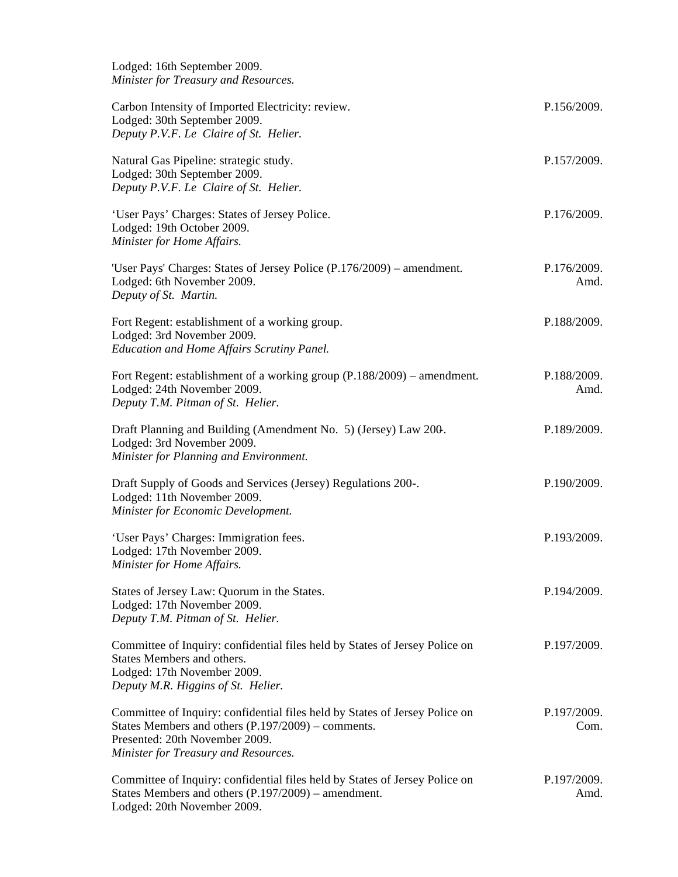| Lodged: 16th September 2009.<br>Minister for Treasury and Resources.                                                                                                                                        |                     |
|-------------------------------------------------------------------------------------------------------------------------------------------------------------------------------------------------------------|---------------------|
| Carbon Intensity of Imported Electricity: review.<br>Lodged: 30th September 2009.<br>Deputy P.V.F. Le Claire of St. Helier.                                                                                 | P.156/2009.         |
| Natural Gas Pipeline: strategic study.<br>Lodged: 30th September 2009.<br>Deputy P.V.F. Le Claire of St. Helier.                                                                                            | P.157/2009.         |
| 'User Pays' Charges: States of Jersey Police.<br>Lodged: 19th October 2009.<br>Minister for Home Affairs.                                                                                                   | P.176/2009.         |
| 'User Pays' Charges: States of Jersey Police (P.176/2009) – amendment.<br>Lodged: 6th November 2009.<br>Deputy of St. Martin.                                                                               | P.176/2009.<br>Amd. |
| Fort Regent: establishment of a working group.<br>Lodged: 3rd November 2009.<br>Education and Home Affairs Scrutiny Panel.                                                                                  | P.188/2009.         |
| Fort Regent: establishment of a working group (P.188/2009) – amendment.<br>Lodged: 24th November 2009.<br>Deputy T.M. Pitman of St. Helier.                                                                 | P.188/2009.<br>Amd. |
| Draft Planning and Building (Amendment No. 5) (Jersey) Law 200.<br>Lodged: 3rd November 2009.<br>Minister for Planning and Environment.                                                                     | P.189/2009.         |
| Draft Supply of Goods and Services (Jersey) Regulations 200-.<br>Lodged: 11th November 2009.<br>Minister for Economic Development.                                                                          | P.190/2009.         |
| 'User Pays' Charges: Immigration fees.<br>Lodged: 17th November 2009.<br>Minister for Home Affairs.                                                                                                         | P.193/2009.         |
| States of Jersey Law: Quorum in the States.<br>Lodged: 17th November 2009.<br>Deputy T.M. Pitman of St. Helier.                                                                                             | P.194/2009.         |
| Committee of Inquiry: confidential files held by States of Jersey Police on<br>States Members and others.<br>Lodged: 17th November 2009.<br>Deputy M.R. Higgins of St. Helier.                              | P.197/2009.         |
| Committee of Inquiry: confidential files held by States of Jersey Police on<br>States Members and others (P.197/2009) – comments.<br>Presented: 20th November 2009.<br>Minister for Treasury and Resources. | P.197/2009.<br>Com. |
| Committee of Inquiry: confidential files held by States of Jersey Police on<br>States Members and others (P.197/2009) – amendment.<br>Lodged: 20th November 2009.                                           | P.197/2009.<br>Amd. |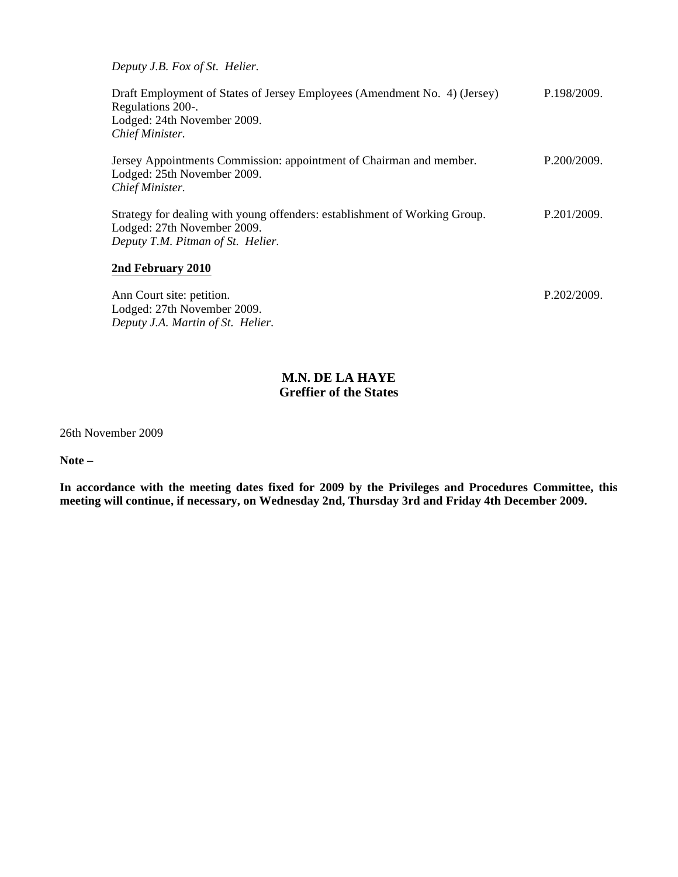*Deputy J.B. Fox of St. Helier.*

*Deputy J.A. Martin of St. Helier.*

Draft Employment of States of Jersey Employees (Amendment No. 4) (Jersey) Regulations 200-. Lodged: 24th November 2009. *Chief Minister.* P.198/2009. Jersey Appointments Commission: appointment of Chairman and member. Lodged: 25th November 2009. *Chief Minister.* P.200/2009. Strategy for dealing with young offenders: establishment of Working Group. Lodged: 27th November 2009. *Deputy T.M. Pitman of St. Helier.* P.201/2009. **2nd February 2010** Ann Court site: petition. Lodged: 27th November 2009. P.202/2009.

### **M.N. DE LA HAYE Greffier of the States**

26th November 2009

**Note –**

**In accordance with the meeting dates fixed for 2009 by the Privileges and Procedures Committee, this meeting will continue, if necessary, on Wednesday 2nd, Thursday 3rd and Friday 4th December 2009.**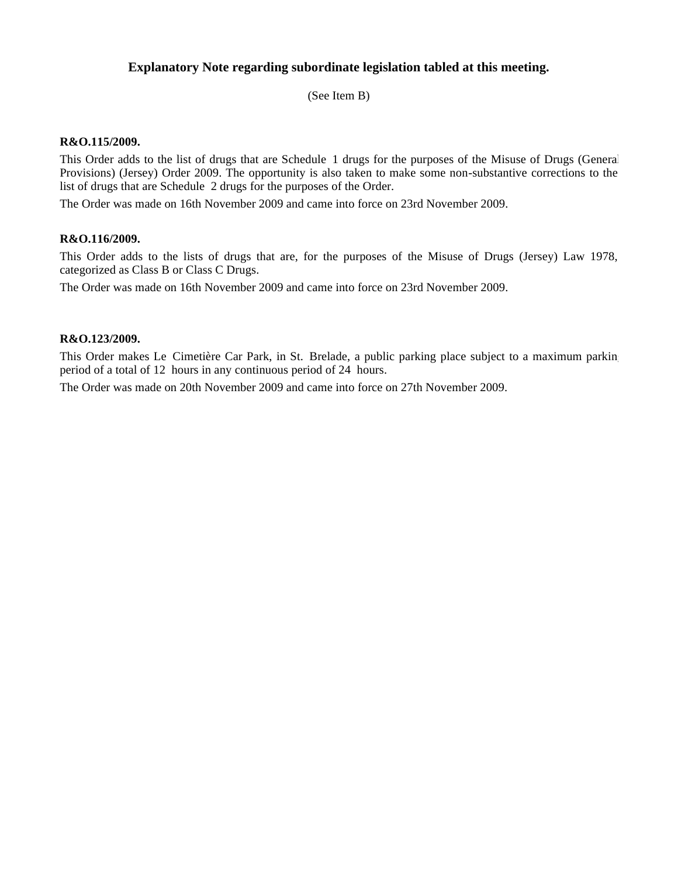### **Explanatory Note regarding subordinate legislation tabled at this meeting.**

(See Item B)

#### **R&O.115/2009.**

This Order adds to the list of drugs that are Schedule 1 drugs for the purposes of the Misuse of Drugs (General Provisions) (Jersey) Order 2009. The opportunity is also taken to make some non-substantive corrections to the list of drugs that are Schedule 2 drugs for the purposes of the Order.

The Order was made on 16th November 2009 and came into force on 23rd November 2009.

#### **R&O.116/2009.**

This Order adds to the lists of drugs that are, for the purposes of the Misuse of Drugs (Jersey) Law 1978, categorized as Class B or Class C Drugs.

The Order was made on 16th November 2009 and came into force on 23rd November 2009.

#### **R&O.123/2009.**

This Order makes Le Cimetière Car Park, in St. Brelade, a public parking place subject to a maximum parking period of a total of 12 hours in any continuous period of 24 hours.

The Order was made on 20th November 2009 and came into force on 27th November 2009.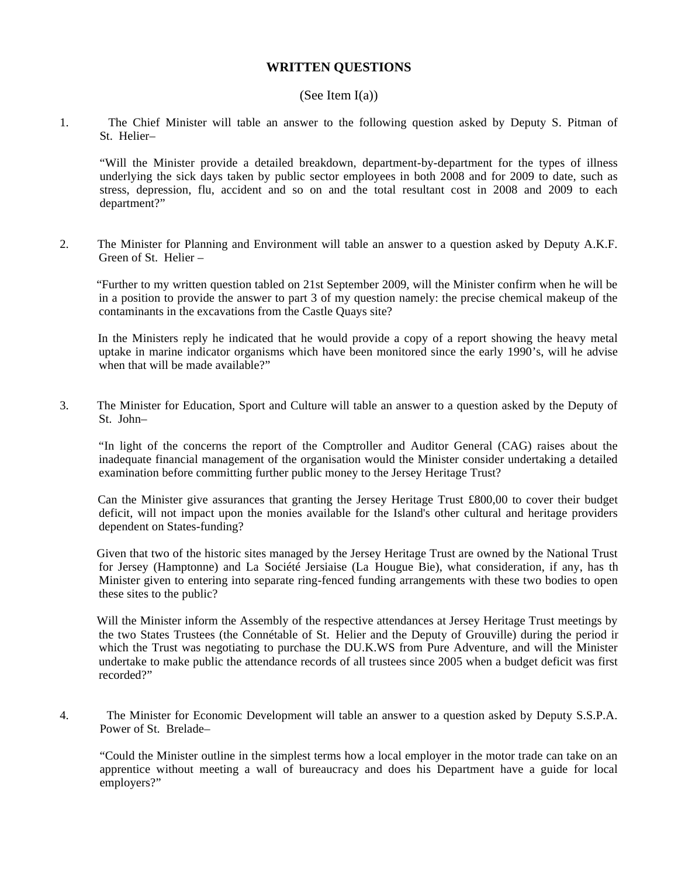#### **WRITTEN QUESTIONS**

#### (See Item  $I(a)$ )

1. The Chief Minister will table an answer to the following question asked by Deputy S. Pitman of St. Helier-

"Will the Minister provide a detailed breakdown, department-by-department for the types of illness underlying the sick days taken by public sector employees in both 2008 and for 2009 to date, such as stress, depression, flu, accident and so on and the total resultant cost in 2008 and 2009 to each department?"

2. The Minister for Planning and Environment will table an answer to a question asked by Deputy A.K.F. Green of St. Helier –

 "Further to my written question tabled on 21st September 2009, will the Minister confirm when he will be in a position to provide the answer to part 3 of my question namely: the precise chemical makeup of the contaminants in the excavations from the Castle Quays site?

 In the Ministers reply he indicated that he would provide a copy of a report showing the heavy metal uptake in marine indicator organisms which have been monitored since the early 1990's, will he advise when that will be made available?"

3. The Minister for Education, Sport and Culture will table an answer to a question asked by the Deputy of St John-

 "In light of the concerns the report of the Comptroller and Auditor General (CAG) raises about the inadequate financial management of the organisation would the Minister consider undertaking a detailed examination before committing further public money to the Jersey Heritage Trust?

 Can the Minister give assurances that granting the Jersey Heritage Trust £800,00 to cover their budget deficit, will not impact upon the monies available for the Island's other cultural and heritage providers dependent on States-funding?

 Given that two of the historic sites managed by the Jersey Heritage Trust are owned by the National Trust for Jersey (Hamptonne) and La Société Jersiaise (La Hougue Bie), what consideration, if any, has the Minister given to entering into separate ring-fenced funding arrangements with these two bodies to open these sites to the public?

 Will the Minister inform the Assembly of the respective attendances at Jersey Heritage Trust meetings by the two States Trustees (the Connétable of St. Helier and the Deputy of Grouville) during the period in which the Trust was negotiating to purchase the DU.K.WS from Pure Adventure, and will the Minister undertake to make public the attendance records of all trustees since 2005 when a budget deficit was first recorded?"

4. The Minister for Economic Development will table an answer to a question asked by Deputy S.S.P.A. Power of St. Brelade-

"Could the Minister outline in the simplest terms how a local employer in the motor trade can take on an apprentice without meeting a wall of bureaucracy and does his Department have a guide for local employers?"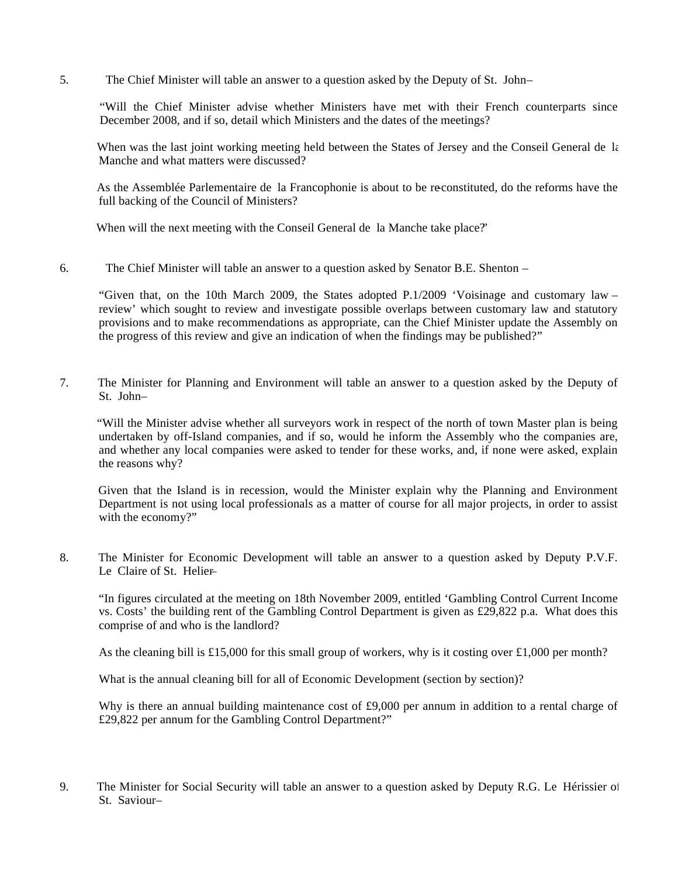5. The Chief Minister will table an answer to a question asked by the Deputy of St. John –

"Will the Chief Minister advise whether Ministers have met with their French counterparts since December 2008, and if so, detail which Ministers and the dates of the meetings?

When was the last joint working meeting held between the States of Jersey and the Conseil General de la Manche and what matters were discussed?

As the Assemblée Parlementaire de la Francophonie is about to be reconstituted, do the reforms have the full backing of the Council of Ministers?

When will the next meeting with the Conseil General de la Manche take place?"

6. The Chief Minister will table an answer to a question asked by Senator B.E. Shenton –

"Given that, on the 10th March 2009, the States adopted P.1/2009 'Voisinage and customary law – review' which sought to review and investigate possible overlaps between customary law and statutory provisions and to make recommendations as appropriate, can the Chief Minister update the Assembly on the progress of this review and give an indication of when the findings may be published?"

7. The Minister for Planning and Environment will table an answer to a question asked by the Deputy of St. John-

 "Will the Minister advise whether all surveyors work in respect of the north of town Master plan is being undertaken by off-Island companies, and if so, would he inform the Assembly who the companies are, and whether any local companies were asked to tender for these works, and, if none were asked, explain the reasons why?

 Given that the Island is in recession, would the Minister explain why the Planning and Environment Department is not using local professionals as a matter of course for all major projects, in order to assist with the economy?"

8. The Minister for Economic Development will table an answer to a question asked by Deputy P.V.F. Le Claire of St. Helier-

"In figures circulated at the meeting on 18th November 2009, entitled 'Gambling Control Current Income vs. Costs' the building rent of the Gambling Control Department is given as £29,822 p.a. What does this comprise of and who is the landlord?

As the cleaning bill is £15,000 for this small group of workers, why is it costing over £1,000 per month?

What is the annual cleaning bill for all of Economic Development (section by section)?

Why is there an annual building maintenance cost of £9,000 per annum in addition to a rental charge of £29,822 per annum for the Gambling Control Department?"

9. The Minister for Social Security will table an answer to a question asked by Deputy R.G. Le Hérissier of St. Saviour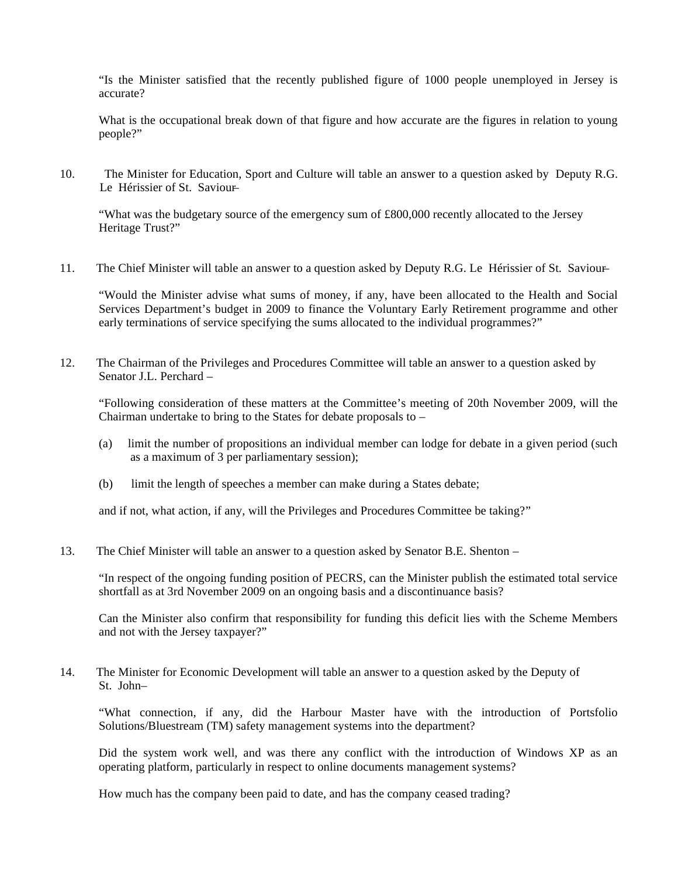"Is the Minister satisfied that the recently published figure of 1000 people unemployed in Jersey is accurate?

What is the occupational break down of that figure and how accurate are the figures in relation to young people?"

10. The Minister for Education, Sport and Culture will table an answer to a question asked by Deputy R.G. Le Hérissier of St. Saviour-

"What was the budgetary source of the emergency sum of £800,000 recently allocated to the Jersey Heritage Trust?"

11. The Chief Minister will table an answer to a question asked by Deputy R.G. Le Hérissier of St. Saviour-

"Would the Minister advise what sums of money, if any, have been allocated to the Health and Social Services Department's budget in 2009 to finance the Voluntary Early Retirement programme and other early terminations of service specifying the sums allocated to the individual programmes?"

12. The Chairman of the Privileges and Procedures Committee will table an answer to a question asked by Senator J.L. Perchard –

"Following consideration of these matters at the Committee's meeting of 20th November 2009, will the Chairman undertake to bring to the States for debate proposals to –

- (a) limit the number of propositions an individual member can lodge for debate in a given period (such as a maximum of 3 per parliamentary session);
- (b) limit the length of speeches a member can make during a States debate;

and if not, what action, if any, will the Privileges and Procedures Committee be taking?"

13. The Chief Minister will table an answer to a question asked by Senator B.E. Shenton –

"In respect of the ongoing funding position of PECRS, can the Minister publish the estimated total service shortfall as at 3rd November 2009 on an ongoing basis and a discontinuance basis?

Can the Minister also confirm that responsibility for funding this deficit lies with the Scheme Members and not with the Jersey taxpayer?"

14. The Minister for Economic Development will table an answer to a question asked by the Deputy of St. John-

"What connection, if any, did the Harbour Master have with the introduction of Portsfolio Solutions/Bluestream (TM) safety management systems into the department?

Did the system work well, and was there any conflict with the introduction of Windows XP as an operating platform, particularly in respect to online documents management systems?

How much has the company been paid to date, and has the company ceased trading?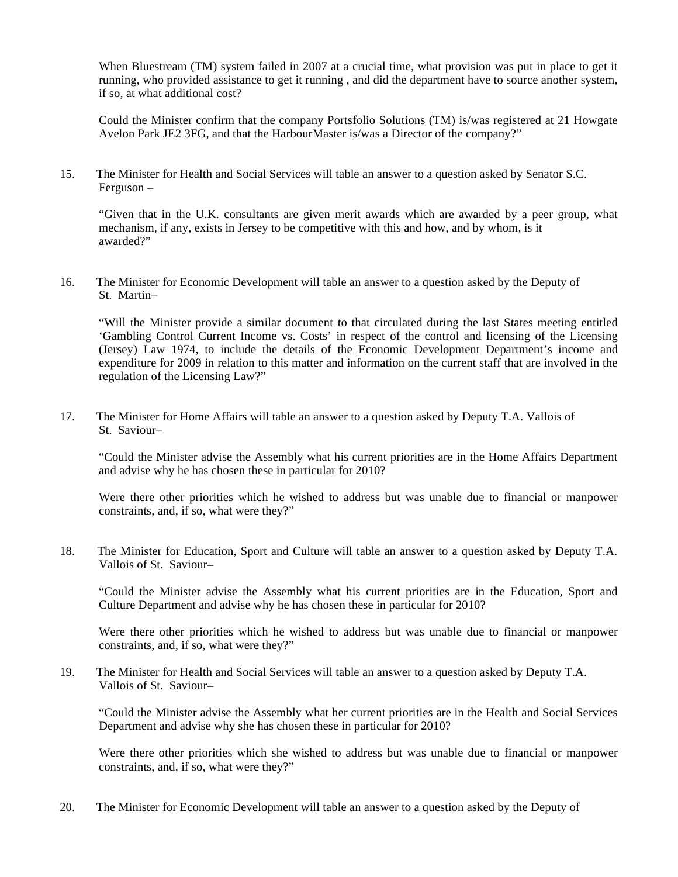When Bluestream (TM) system failed in 2007 at a crucial time, what provision was put in place to get it running, who provided assistance to get it running , and did the department have to source another system, if so, at what additional cost?

Could the Minister confirm that the company Portsfolio Solutions (TM) is/was registered at 21 Howgate Avelon Park JE2 3FG, and that the HarbourMaster is/was a Director of the company?"

15. The Minister for Health and Social Services will table an answer to a question asked by Senator S.C. Ferguson –

"Given that in the U.K. consultants are given merit awards which are awarded by a peer group, what mechanism, if any, exists in Jersey to be competitive with this and how, and by whom, is it awarded?"

16. The Minister for Economic Development will table an answer to a question asked by the Deputy of St. Martin-

"Will the Minister provide a similar document to that circulated during the last States meeting entitled 'Gambling Control Current Income vs. Costs' in respect of the control and licensing of the Licensing (Jersey) Law 1974, to include the details of the Economic Development Department's income and expenditure for 2009 in relation to this matter and information on the current staff that are involved in the regulation of the Licensing Law?"

17. The Minister for Home Affairs will table an answer to a question asked by Deputy T.A. Vallois of St. Saviour-

"Could the Minister advise the Assembly what his current priorities are in the Home Affairs Department and advise why he has chosen these in particular for 2010?

Were there other priorities which he wished to address but was unable due to financial or manpower constraints, and, if so, what were they?"

18. The Minister for Education, Sport and Culture will table an answer to a question asked by Deputy T.A. Vallois of St. Saviour-

"Could the Minister advise the Assembly what his current priorities are in the Education, Sport and Culture Department and advise why he has chosen these in particular for 2010?

Were there other priorities which he wished to address but was unable due to financial or manpower constraints, and, if so, what were they?"

19. The Minister for Health and Social Services will table an answer to a question asked by Deputy T.A. Vallois of St. Saviour-

"Could the Minister advise the Assembly what her current priorities are in the Health and Social Services Department and advise why she has chosen these in particular for 2010?

Were there other priorities which she wished to address but was unable due to financial or manpower constraints, and, if so, what were they?"

20. The Minister for Economic Development will table an answer to a question asked by the Deputy of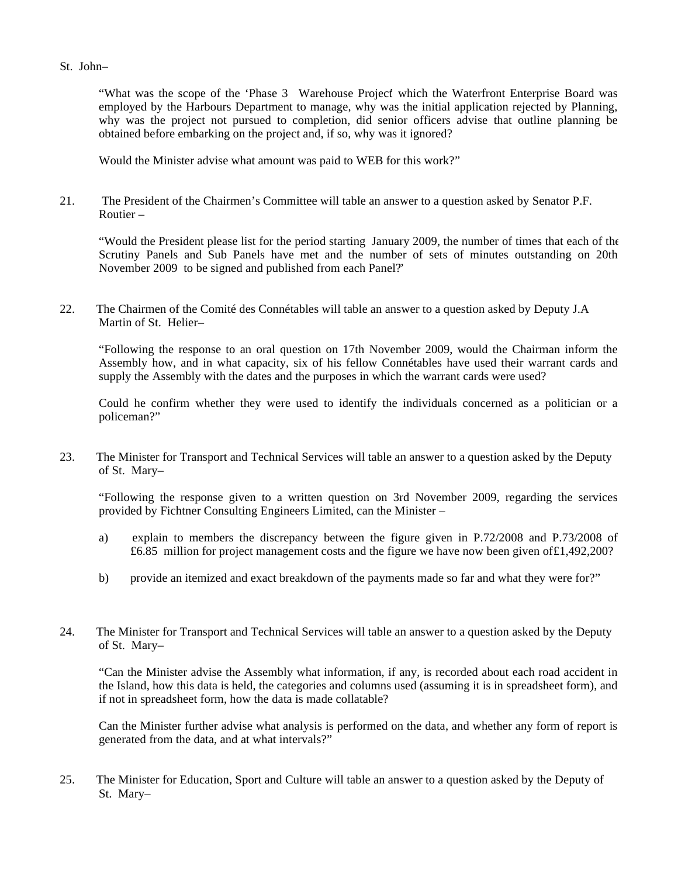#### St. John-

"What was the scope of the 'Phase 3 Warehouse Project' which the Waterfront Enterprise Board was employed by the Harbours Department to manage, why was the initial application rejected by Planning, why was the project not pursued to completion, did senior officers advise that outline planning be obtained before embarking on the project and, if so, why was it ignored?

Would the Minister advise what amount was paid to WEB for this work?"

21. The President of the Chairmen's Committee will table an answer to a question asked by Senator P.F. Routier –

"Would the President please list for the period starting January 2009, the number of times that each of the Scrutiny Panels and Sub Panels have met and the number of sets of minutes outstanding on 20th November 2009 to be signed and published from each Panel?"

22. The Chairmen of the Comité des Connétables will table an answer to a question asked by Deputy J.A Martin of St. Helier-

"Following the response to an oral question on 17th November 2009, would the Chairman inform the Assembly how, and in what capacity, six of his fellow Connétables have used their warrant cards and supply the Assembly with the dates and the purposes in which the warrant cards were used?

Could he confirm whether they were used to identify the individuals concerned as a politician or a policeman?"

23. The Minister for Transport and Technical Services will table an answer to a question asked by the Deputy of St. Mary-

"Following the response given to a written question on 3rd November 2009, regarding the services provided by Fichtner Consulting Engineers Limited, can the Minister –

- a) explain to members the discrepancy between the figure given in P.72/2008 and P.73/2008 of £6.85 million for project management costs and the figure we have now been given of£1,492,200?
- b) provide an itemized and exact breakdown of the payments made so far and what they were for?"
- 24. The Minister for Transport and Technical Services will table an answer to a question asked by the Deputy of St. Mary-

"Can the Minister advise the Assembly what information, if any, is recorded about each road accident in the Island, how this data is held, the categories and columns used (assuming it is in spreadsheet form), and if not in spreadsheet form, how the data is made collatable?

Can the Minister further advise what analysis is performed on the data, and whether any form of report is generated from the data, and at what intervals?"

25. The Minister for Education, Sport and Culture will table an answer to a question asked by the Deputy of St. Mary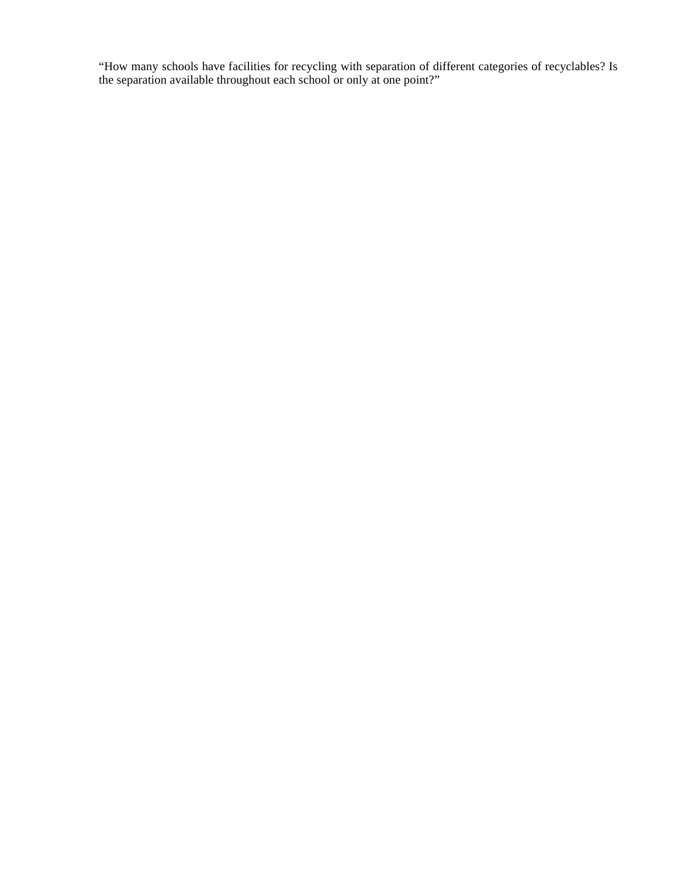"How many schools have facilities for recycling with separation of different categories of recyclables? Is the separation available throughout each school or only at one point?"